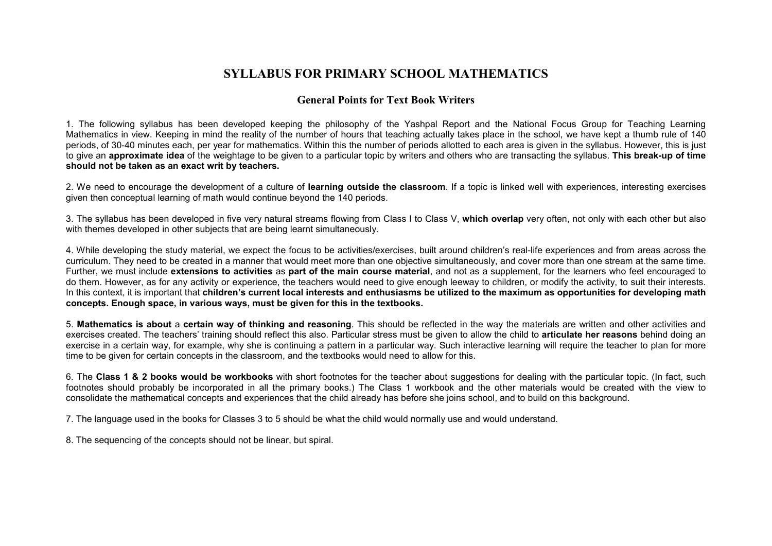### **SYLLABUS FOR PRIMARY SCHOOL MATHEMATICS**

### **General Points for Text Book Writers**

1. The following syllabus has been developed keeping the philosophy of the Yashpal Report and the National Focus Group for Teaching Learning Mathematics in view. Keeping in mind the reality of the number of hours that teaching actually takes place in the school, we have kept a thumb rule of 140 periods, of 30-40 minutes each, per year for mathematics. Within this the number of periods allotted to each area is given in the syllabus. However, this is just to give an **approximate idea** of the weightage to be given to a particular topic by writers and others who are transacting the syllabus. **This break-up of time should not be taken as an exact writ by teachers.**

2. We need to encourage the development of a culture of **learning outside the classroom**. If a topic is linked well with experiences, interesting exercisesgiven then conceptual learning of math would continue beyond the 140 periods.

3. The syllabus has been developed in five very natural streams flowing from Class I to Class V, **which overlap** very often, not only with each other but also with themes developed in other subjects that are being learnt simultaneously.

4. While developing the study material, we expect the focus to be activities/exercises, built around children's real-life experiences and from areas across the curriculum. They need to be created in a manner that would meet more than one objective simultaneously, and cover more than one stream at the same time. Further, we must include **extensions to activities** as **part of the main course material**, and not as a supplement, for the learners who feel encouraged to do them. However, as for any activity or experience, the teachers would need to give enough leeway to children, or modify the activity, to suit their interests. In this context, it is important that **children's current local interests and enthusiasms be utilized to the maximum as opportunities for developing math concepts. Enough space, in various ways, must be given for this in the textbooks.**

5. **Mathematics is about** a **certain way of thinking and reasoning**. This should be reflected in the way the materials are written and other activities and exercises created. The teachers' training should reflect this also. Particular stress must be given to allow the child to **articulate her reasons** behind doing an exercise in a certain way, for example, why she is continuing a pattern in a particular way. Such interactive learning will require the teacher to plan for more time to be given for certain concepts in the classroom, and the textbooks would need to allow for this.

6. The **Class 1 & 2 books would be workbooks** with short footnotes for the teacher about suggestions for dealing with the particular topic. (In fact, such footnotes should probably be incorporated in all the primary books.) The Class 1 workbook and the other materials would be created with the view to consolidate the mathematical concepts and experiences that the child already has before she joins school, and to build on this background.

7. The language used in the books for Classes 3 to 5 should be what the child would normally use and would understand.

8. The sequencing of the concepts should not be linear, but spiral.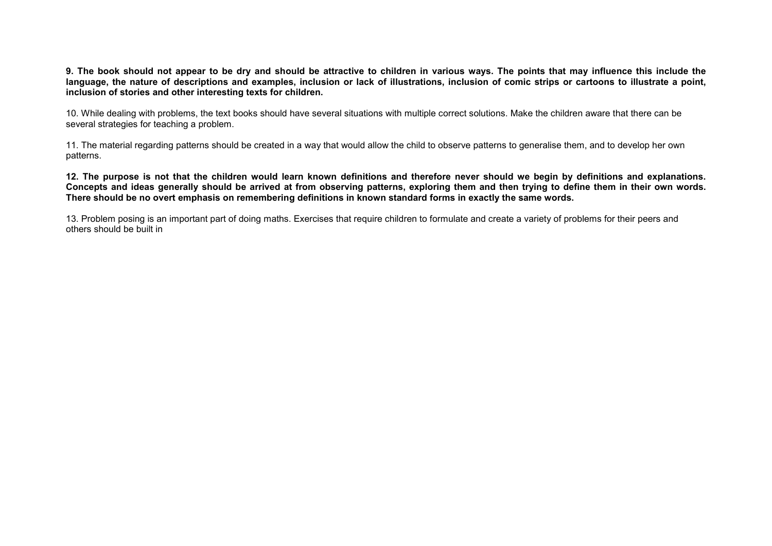**9. The book should not appear to be dry and should be attractive to children in various ways. The points that may influence this include the language, the nature of descriptions and examples, inclusion or lack of illustrations, inclusion of comic strips or cartoons to illustrate a point, inclusion of stories and other interesting texts for children.** 

10. While dealing with problems, the text books should have several situations with multiple correct solutions. Make the children aware that there can beseveral strategies for teaching a problem.

11. The material regarding patterns should be created in a way that would allow the child to observe patterns to generalise them, and to develop her own patterns.

**12. The purpose is not that the children would learn known definitions and therefore never should we begin by definitions and explanations. Concepts and ideas generally should be arrived at from observing patterns, exploring them and then trying to define them in their own words. There should be no overt emphasis on remembering definitions in known standard forms in exactly the same words.** 

13. Problem posing is an important part of doing maths. Exercises that require children to formulate and create a variety of problems for their peers andothers should be built in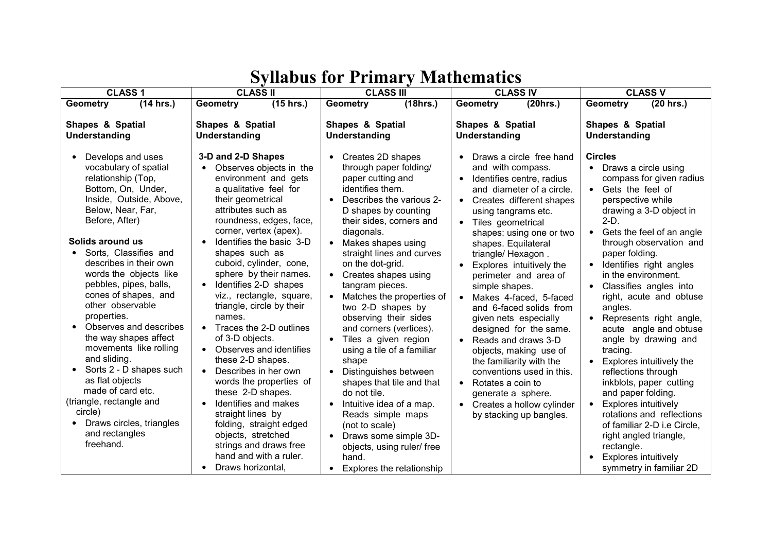| <b>CLASS 1</b>                                                                                                                                                                                                                                                                                                                                     | <b>CLASS II</b>                                                                                                                                                                                                                                                                                                                                                                             | <b>CLASS III</b>                                                                                                                                                                                                                                                                                                                                                                    | <b>CLASS IV</b>                                                                                                                                                                                                                                                                                                                                                                       | <b>CLASS V</b>                                                                                                                                                                                                                                                                                                                                           |
|----------------------------------------------------------------------------------------------------------------------------------------------------------------------------------------------------------------------------------------------------------------------------------------------------------------------------------------------------|---------------------------------------------------------------------------------------------------------------------------------------------------------------------------------------------------------------------------------------------------------------------------------------------------------------------------------------------------------------------------------------------|-------------------------------------------------------------------------------------------------------------------------------------------------------------------------------------------------------------------------------------------------------------------------------------------------------------------------------------------------------------------------------------|---------------------------------------------------------------------------------------------------------------------------------------------------------------------------------------------------------------------------------------------------------------------------------------------------------------------------------------------------------------------------------------|----------------------------------------------------------------------------------------------------------------------------------------------------------------------------------------------------------------------------------------------------------------------------------------------------------------------------------------------------------|
| (14 hrs.)<br><b>Geometry</b>                                                                                                                                                                                                                                                                                                                       | <b>Geometry</b><br>(15 hrs.)                                                                                                                                                                                                                                                                                                                                                                | (18hrs.)<br><b>Geometry</b>                                                                                                                                                                                                                                                                                                                                                         | (20 hrs.)<br><b>Geometry</b>                                                                                                                                                                                                                                                                                                                                                          | $(20$ hrs.)<br><b>Geometry</b>                                                                                                                                                                                                                                                                                                                           |
| <b>Shapes &amp; Spatial</b><br>Understanding<br>Develops and uses                                                                                                                                                                                                                                                                                  | <b>Shapes &amp; Spatial</b><br>Understanding<br>3-D and 2-D Shapes                                                                                                                                                                                                                                                                                                                          | Shapes & Spatial<br>Understanding<br>Creates 2D shapes                                                                                                                                                                                                                                                                                                                              | <b>Shapes &amp; Spatial</b><br>Understanding<br>Draws a circle free hand                                                                                                                                                                                                                                                                                                              | Shapes & Spatial<br>Understanding<br><b>Circles</b>                                                                                                                                                                                                                                                                                                      |
| vocabulary of spatial<br>relationship (Top,<br>Bottom, On, Under,<br>Inside, Outside, Above,<br>Below, Near, Far,<br>Before, After)                                                                                                                                                                                                                | Observes objects in the<br>environment and gets<br>a qualitative feel for<br>their geometrical<br>attributes such as<br>roundness, edges, face,<br>corner, vertex (apex).                                                                                                                                                                                                                   | through paper folding/<br>paper cutting and<br>identifies them.<br>Describes the various 2-<br>D shapes by counting<br>their sides, corners and<br>diagonals.                                                                                                                                                                                                                       | and with compass.<br>Identifies centre, radius<br>and diameter of a circle.<br>• Creates different shapes<br>using tangrams etc.<br>• Tiles geometrical<br>shapes: using one or two                                                                                                                                                                                                   | • Draws a circle using<br>compass for given radius<br>Gets the feel of<br>perspective while<br>drawing a 3-D object in<br>$2-D.$<br>Gets the feel of an angle                                                                                                                                                                                            |
| Solids around us<br>Sorts, Classifies and<br>describes in their own<br>words the objects like<br>pebbles, pipes, balls,<br>cones of shapes, and<br>other observable<br>properties.<br>Observes and describes<br>the way shapes affect<br>movements like rolling<br>and sliding.<br>Sorts 2 - D shapes such<br>as flat objects<br>made of card etc. | Identifies the basic 3-D<br>shapes such as<br>cuboid, cylinder, cone,<br>sphere by their names.<br>Identifies 2-D shapes<br>$\bullet$<br>viz., rectangle, square,<br>triangle, circle by their<br>names.<br>Traces the 2-D outlines<br>of 3-D objects.<br>Observes and identifies<br>these 2-D shapes.<br>Describes in her own<br>$\bullet$<br>words the properties of<br>these 2-D shapes. | Makes shapes using<br>$\bullet$<br>straight lines and curves<br>on the dot-grid.<br>Creates shapes using<br>$\bullet$<br>tangram pieces.<br>Matches the properties of<br>two 2-D shapes by<br>observing their sides<br>and corners (vertices).<br>Tiles a given region<br>using a tile of a familiar<br>shape<br>Distinguishes between<br>shapes that tile and that<br>do not tile. | shapes. Equilateral<br>triangle/ Hexagon.<br>• Explores intuitively the<br>perimeter and area of<br>simple shapes.<br>• Makes 4-faced, 5-faced<br>and 6-faced solids from<br>given nets especially<br>designed for the same.<br>• Reads and draws 3-D<br>objects, making use of<br>the familiarity with the<br>conventions used in this.<br>• Rotates a coin to<br>generate a sphere. | through observation and<br>paper folding.<br>Identifies right angles<br>in the environment.<br>Classifies angles into<br>right, acute and obtuse<br>angles.<br>Represents right angle,<br>acute angle and obtuse<br>angle by drawing and<br>tracing.<br>Explores intuitively the<br>reflections through<br>inkblots, paper cutting<br>and paper folding. |
| (triangle, rectangle and<br>circle)<br>Draws circles, triangles<br>and rectangles<br>freehand.                                                                                                                                                                                                                                                     | Identifies and makes<br>straight lines by<br>folding, straight edged<br>objects, stretched<br>strings and draws free<br>hand and with a ruler.<br>Draws horizontal,                                                                                                                                                                                                                         | Intuitive idea of a map.<br>Reads simple maps<br>(not to scale)<br>Draws some simple 3D-<br>$\bullet$<br>objects, using ruler/ free<br>hand.<br>Explores the relationship<br>$\bullet$                                                                                                                                                                                              | • Creates a hollow cylinder<br>by stacking up bangles.                                                                                                                                                                                                                                                                                                                                | Explores intuitively<br>rotations and reflections<br>of familiar 2-D i.e Circle,<br>right angled triangle,<br>rectangle.<br>Explores intuitively<br>symmetry in familiar 2D                                                                                                                                                                              |

# **Syllabus for Primary Mathematics**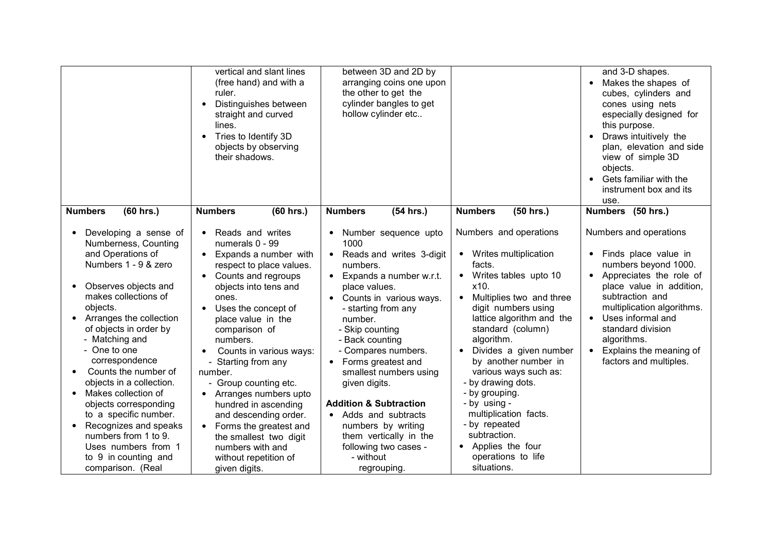|                                                                                                                                                                                                                                                                                                                                                                                                                                                                                                                                | vertical and slant lines<br>(free hand) and with a<br>ruler.<br>Distinguishes between<br>$\bullet$<br>straight and curved<br>lines.<br>Tries to Identify 3D<br>$\bullet$<br>objects by observing<br>their shadows.                                                                                                                                                                                                                                                                                                                                                                          | between 3D and 2D by<br>arranging coins one upon<br>the other to get the<br>cylinder bangles to get<br>hollow cylinder etc                                                                                                                                                                                                                                                                                                                                                                      |                                                                                                                                                                                                                                                                                                                                                                                                                                                                           | and 3-D shapes.<br>Makes the shapes of<br>cubes, cylinders and<br>cones using nets<br>especially designed for<br>this purpose.<br>Draws intuitively the<br>plan, elevation and side<br>view of simple 3D<br>objects.<br>Gets familiar with the<br>instrument box and its<br>use.               |
|--------------------------------------------------------------------------------------------------------------------------------------------------------------------------------------------------------------------------------------------------------------------------------------------------------------------------------------------------------------------------------------------------------------------------------------------------------------------------------------------------------------------------------|---------------------------------------------------------------------------------------------------------------------------------------------------------------------------------------------------------------------------------------------------------------------------------------------------------------------------------------------------------------------------------------------------------------------------------------------------------------------------------------------------------------------------------------------------------------------------------------------|-------------------------------------------------------------------------------------------------------------------------------------------------------------------------------------------------------------------------------------------------------------------------------------------------------------------------------------------------------------------------------------------------------------------------------------------------------------------------------------------------|---------------------------------------------------------------------------------------------------------------------------------------------------------------------------------------------------------------------------------------------------------------------------------------------------------------------------------------------------------------------------------------------------------------------------------------------------------------------------|------------------------------------------------------------------------------------------------------------------------------------------------------------------------------------------------------------------------------------------------------------------------------------------------|
| (60 hrs.)<br><b>Numbers</b>                                                                                                                                                                                                                                                                                                                                                                                                                                                                                                    | <b>Numbers</b><br>$(60$ hrs.)                                                                                                                                                                                                                                                                                                                                                                                                                                                                                                                                                               | <b>Numbers</b><br>(54 hrs.)                                                                                                                                                                                                                                                                                                                                                                                                                                                                     | $(50$ hrs.)<br><b>Numbers</b>                                                                                                                                                                                                                                                                                                                                                                                                                                             | Numbers (50 hrs.)                                                                                                                                                                                                                                                                              |
| Developing a sense of<br>Numberness, Counting<br>and Operations of<br>Numbers 1 - 9 & zero<br>Observes objects and<br>makes collections of<br>objects.<br>Arranges the collection<br>$\bullet$<br>of objects in order by<br>- Matching and<br>- One to one<br>correspondence<br>Counts the number of<br>objects in a collection.<br>Makes collection of<br>objects corresponding<br>to a specific number.<br>Recognizes and speaks<br>numbers from 1 to 9.<br>Uses numbers from 1<br>to 9 in counting and<br>comparison. (Real | Reads and writes<br>$\bullet$<br>numerals 0 - 99<br>Expands a number with<br>$\bullet$<br>respect to place values.<br>Counts and regroups<br>$\bullet$<br>objects into tens and<br>ones.<br>Uses the concept of<br>place value in the<br>comparison of<br>numbers.<br>Counts in various ways:<br>$\bullet$<br>- Starting from any<br>number.<br>- Group counting etc.<br>Arranges numbers upto<br>$\bullet$<br>hundred in ascending<br>and descending order.<br>Forms the greatest and<br>$\bullet$<br>the smallest two digit<br>numbers with and<br>without repetition of<br>given digits. | • Number sequence upto<br>1000<br>• Reads and writes 3-digit<br>numbers.<br>$\bullet$ Expands a number w.r.t.<br>place values.<br>• Counts in various ways.<br>- starting from any<br>number.<br>- Skip counting<br>- Back counting<br>- Compares numbers.<br>• Forms greatest and<br>smallest numbers using<br>given digits.<br><b>Addition &amp; Subtraction</b><br>• Adds and subtracts<br>numbers by writing<br>them vertically in the<br>following two cases -<br>- without<br>regrouping. | Numbers and operations<br>• Writes multiplication<br>facts.<br>• Writes tables upto 10<br>x10.<br>Multiplies two and three<br>digit numbers using<br>lattice algorithm and the<br>standard (column)<br>algorithm.<br>Divides a given number<br>by another number in<br>various ways such as:<br>- by drawing dots.<br>- by grouping.<br>- by using -<br>multiplication facts.<br>- by repeated<br>subtraction.<br>• Applies the four<br>operations to life<br>situations. | Numbers and operations<br>• Finds place value in<br>numbers beyond 1000.<br>Appreciates the role of<br>place value in addition,<br>subtraction and<br>multiplication algorithms.<br>Uses informal and<br>standard division<br>algorithms.<br>Explains the meaning of<br>factors and multiples. |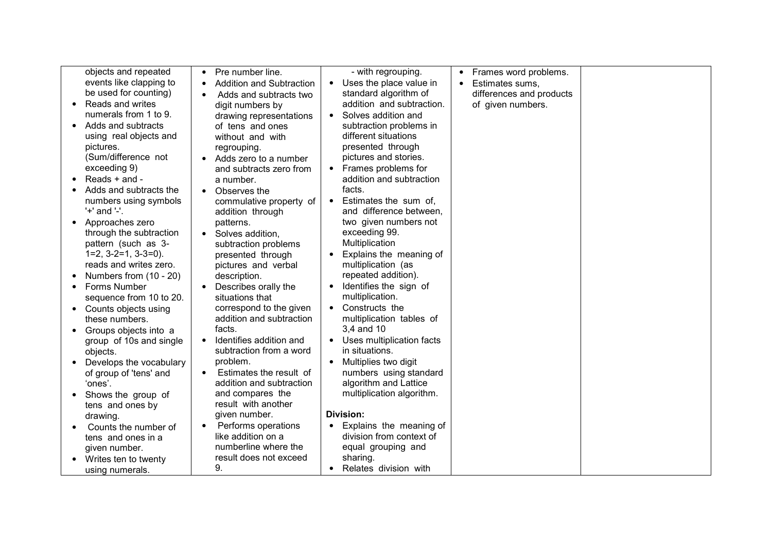| objects and repeated      | Pre number line.<br>$\bullet$        | - with regrouping.                     | Frames word problems.<br>$\bullet$ |  |
|---------------------------|--------------------------------------|----------------------------------------|------------------------------------|--|
| events like clapping to   | <b>Addition and Subtraction</b>      | Uses the place value in<br>$\bullet$   | Estimates sums,<br>$\bullet$       |  |
| be used for counting)     | Adds and subtracts two<br>$\bullet$  | standard algorithm of                  | differences and products           |  |
| Reads and writes          | digit numbers by                     | addition and subtraction.              | of given numbers.                  |  |
| numerals from 1 to 9.     | drawing representations              | Solves addition and                    |                                    |  |
| Adds and subtracts        | of tens and ones                     | subtraction problems in                |                                    |  |
| using real objects and    | without and with                     | different situations                   |                                    |  |
| pictures.                 | regrouping.                          | presented through                      |                                    |  |
| (Sum/difference not       | Adds zero to a number                | pictures and stories.                  |                                    |  |
| exceeding 9)              | and subtracts zero from              | Frames problems for<br>$\bullet$       |                                    |  |
| Reads + and -             | a number.                            | addition and subtraction               |                                    |  |
| Adds and subtracts the    | Observes the<br>$\bullet$            | facts.                                 |                                    |  |
| numbers using symbols     | commulative property of              | Estimates the sum of,<br>$\bullet$     |                                    |  |
| '+' and '-'.              | addition through                     | and difference between.                |                                    |  |
| Approaches zero           | patterns.                            | two given numbers not                  |                                    |  |
| through the subtraction   | • Solves addition,                   | exceeding 99.                          |                                    |  |
| pattern (such as 3-       | subtraction problems                 | Multiplication                         |                                    |  |
| $1=2, 3-2=1, 3-3=0$ ).    | presented through                    | Explains the meaning of<br>$\bullet$   |                                    |  |
| reads and writes zero.    | pictures and verbal                  | multiplication (as                     |                                    |  |
| Numbers from (10 - 20)    | description.                         | repeated addition).                    |                                    |  |
| Forms Number<br>$\bullet$ | Describes orally the<br>$\bullet$    | Identifies the sign of<br>$\bullet$    |                                    |  |
| sequence from 10 to 20.   | situations that                      | multiplication.                        |                                    |  |
| Counts objects using      | correspond to the given              | • Constructs the                       |                                    |  |
| these numbers.            | addition and subtraction             | multiplication tables of               |                                    |  |
| Groups objects into a     | facts.                               | 3,4 and 10                             |                                    |  |
| group of 10s and single   | Identifies addition and<br>$\bullet$ | Uses multiplication facts<br>$\bullet$ |                                    |  |
| objects.                  | subtraction from a word              | in situations.                         |                                    |  |
| Develops the vocabulary   | problem.                             | Multiplies two digit<br>$\bullet$      |                                    |  |
| of group of 'tens' and    | Estimates the result of              | numbers using standard                 |                                    |  |
| 'ones'.                   | addition and subtraction             | algorithm and Lattice                  |                                    |  |
| Shows the group of        | and compares the                     | multiplication algorithm.              |                                    |  |
| tens and ones by          | result with another                  |                                        |                                    |  |
| drawing.                  | given number.                        | Division:                              |                                    |  |
| Counts the number of      | Performs operations<br>$\bullet$     | Explains the meaning of                |                                    |  |
| tens and ones in a        | like addition on a                   | division from context of               |                                    |  |
| given number.             | numberline where the                 | equal grouping and                     |                                    |  |
| Writes ten to twenty      | result does not exceed               | sharing.                               |                                    |  |
| using numerals.           | 9.                                   | Relates division with<br>$\bullet$     |                                    |  |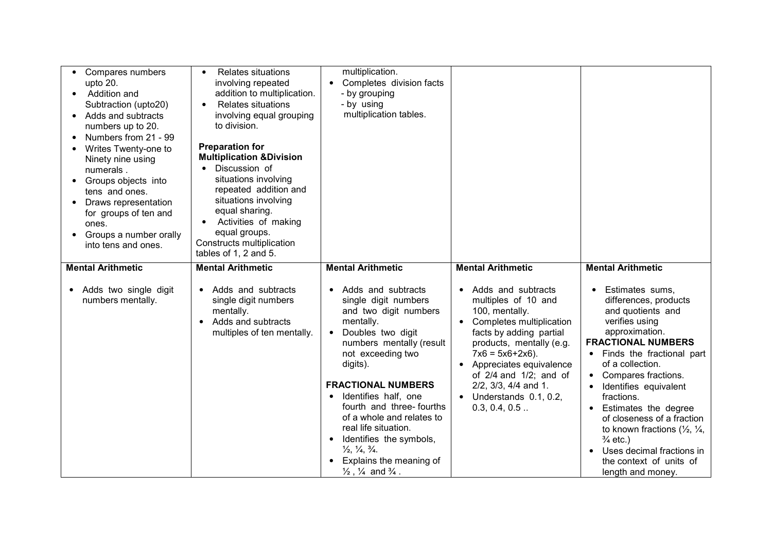| Compares numbers<br>upto 20.<br>Addition and<br>$\bullet$<br>Subtraction (upto20)<br>Adds and subtracts<br>$\bullet$<br>numbers up to 20.<br>Numbers from 21 - 99<br>Writes Twenty-one to<br>Ninety nine using<br>numerals.<br>Groups objects into<br>tens and ones.<br>Draws representation<br>for groups of ten and<br>ones.<br>Groups a number orally<br>into tens and ones. | <b>Relates situations</b><br>$\bullet$<br>involving repeated<br>addition to multiplication.<br><b>Relates situations</b><br>$\bullet$<br>involving equal grouping<br>to division.<br><b>Preparation for</b><br><b>Multiplication &amp;Division</b><br>Discussion of<br>situations involving<br>repeated addition and<br>situations involving<br>equal sharing.<br>Activities of making<br>$\bullet$<br>equal groups.<br>Constructs multiplication<br>tables of 1, 2 and 5. | multiplication.<br>• Completes division facts<br>- by grouping<br>- by using<br>multiplication tables.                                                                                                                                                                                                                                                                                                                                                                                                                       |                                                                                                                                                                                                                                                                                                                                    |                                                                                                                                                                                                                                                                                                                                                                                                                                                                                                     |
|---------------------------------------------------------------------------------------------------------------------------------------------------------------------------------------------------------------------------------------------------------------------------------------------------------------------------------------------------------------------------------|----------------------------------------------------------------------------------------------------------------------------------------------------------------------------------------------------------------------------------------------------------------------------------------------------------------------------------------------------------------------------------------------------------------------------------------------------------------------------|------------------------------------------------------------------------------------------------------------------------------------------------------------------------------------------------------------------------------------------------------------------------------------------------------------------------------------------------------------------------------------------------------------------------------------------------------------------------------------------------------------------------------|------------------------------------------------------------------------------------------------------------------------------------------------------------------------------------------------------------------------------------------------------------------------------------------------------------------------------------|-----------------------------------------------------------------------------------------------------------------------------------------------------------------------------------------------------------------------------------------------------------------------------------------------------------------------------------------------------------------------------------------------------------------------------------------------------------------------------------------------------|
| <b>Mental Arithmetic</b><br>Adds two single digit<br>numbers mentally.                                                                                                                                                                                                                                                                                                          | <b>Mental Arithmetic</b><br>Adds and subtracts<br>$\bullet$<br>single digit numbers<br>mentally.<br>Adds and subtracts<br>$\bullet$<br>multiples of ten mentally.                                                                                                                                                                                                                                                                                                          | <b>Mental Arithmetic</b><br>Adds and subtracts<br>single digit numbers<br>and two digit numbers<br>mentally.<br>Doubles two digit<br>$\bullet$<br>numbers mentally (result<br>not exceeding two<br>digits).<br><b>FRACTIONAL NUMBERS</b><br>Identifies half, one<br>fourth and three-fourths<br>of a whole and relates to<br>real life situation.<br>Identifies the symbols,<br>$\bullet$<br>$\frac{1}{2}$ , $\frac{1}{4}$ , $\frac{3}{4}$ .<br>Explains the meaning of<br>$\frac{1}{2}$ , $\frac{1}{4}$ and $\frac{3}{4}$ . | <b>Mental Arithmetic</b><br>• Adds and subtracts<br>multiples of 10 and<br>100, mentally.<br>• Completes multiplication<br>facts by adding partial<br>products, mentally (e.g.<br>$7x6 = 5x6+2x6$ ).<br>Appreciates equivalence<br>of $2/4$ and $1/2$ ; and of<br>2/2, 3/3, 4/4 and 1.<br>• Understands 0.1, 0.2,<br>0.3, 0.4, 0.5 | <b>Mental Arithmetic</b><br>Estimates sums,<br>$\bullet$<br>differences, products<br>and quotients and<br>verifies using<br>approximation.<br><b>FRACTIONAL NUMBERS</b><br>Finds the fractional part<br>of a collection.<br>Compares fractions.<br>Identifies equivalent<br>fractions.<br>Estimates the degree<br>of closeness of a fraction<br>to known fractions $(\frac{1}{2}, \frac{1}{4})$<br>$\frac{3}{4}$ etc.)<br>Uses decimal fractions in<br>the context of units of<br>length and money. |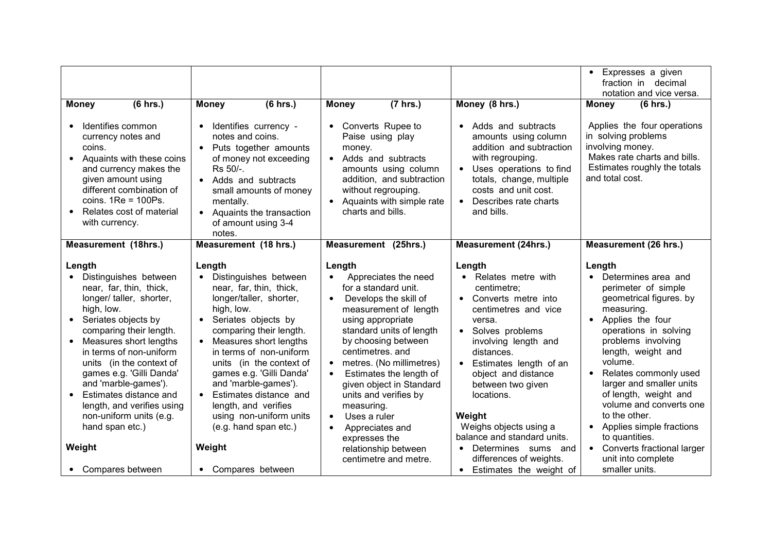|                                                                                                                                                                                                                                                              |                                                                                                                                                                                                                                           |                                                                                                                                                                                                                   |                                                                                                                                                                                                                        | • Expresses a given<br>fraction in decimal                                                                                                                                     |
|--------------------------------------------------------------------------------------------------------------------------------------------------------------------------------------------------------------------------------------------------------------|-------------------------------------------------------------------------------------------------------------------------------------------------------------------------------------------------------------------------------------------|-------------------------------------------------------------------------------------------------------------------------------------------------------------------------------------------------------------------|------------------------------------------------------------------------------------------------------------------------------------------------------------------------------------------------------------------------|--------------------------------------------------------------------------------------------------------------------------------------------------------------------------------|
|                                                                                                                                                                                                                                                              |                                                                                                                                                                                                                                           |                                                                                                                                                                                                                   |                                                                                                                                                                                                                        | notation and vice versa.                                                                                                                                                       |
| (6 hrs.)<br><b>Money</b>                                                                                                                                                                                                                                     | (6 hrs.)<br><b>Money</b>                                                                                                                                                                                                                  | (7 hrs.)<br><b>Money</b>                                                                                                                                                                                          | Money (8 hrs.)                                                                                                                                                                                                         | (6 hrs.)<br><b>Money</b>                                                                                                                                                       |
| Identifies common<br>currency notes and<br>coins.<br>Aquaints with these coins<br>$\bullet$<br>and currency makes the<br>given amount using<br>different combination of<br>coins. $1Re = 100Ps$ .<br>Relates cost of material<br>$\bullet$<br>with currency. | Identifies currency -<br>notes and coins.<br>Puts together amounts<br>of money not exceeding<br>Rs 50/-.<br>• Adds and subtracts<br>small amounts of money<br>mentally.<br>• Aquaints the transaction<br>of amount using 3-4<br>notes.    | • Converts Rupee to<br>Paise using play<br>money.<br>• Adds and subtracts<br>amounts using column<br>addition, and subtraction<br>without regrouping.<br>• Aquaints with simple rate<br>charts and bills.         | • Adds and subtracts<br>amounts using column<br>addition and subtraction<br>with regrouping.<br>• Uses operations to find<br>totals, change, multiple<br>costs and unit cost.<br>• Describes rate charts<br>and bills. | Applies the four operations<br>in solving problems<br>involving money.<br>Makes rate charts and bills.<br>Estimates roughly the totals<br>and total cost.                      |
| <b>Measurement (18hrs.)</b>                                                                                                                                                                                                                                  | Measurement (18 hrs.)                                                                                                                                                                                                                     | Measurement (25hrs.)                                                                                                                                                                                              | <b>Measurement (24hrs.)</b>                                                                                                                                                                                            | <b>Measurement (26 hrs.)</b>                                                                                                                                                   |
| Length<br>Distinguishes between<br>$\bullet$<br>near, far, thin, thick,<br>longer/ taller, shorter,<br>high, low.                                                                                                                                            | Length<br>Distinguishes between<br>$\bullet$<br>near, far, thin, thick,<br>longer/taller, shorter,<br>high, low.                                                                                                                          | Length<br>Appreciates the need<br>for a standard unit.<br>Develops the skill of<br>$\bullet$<br>measurement of length                                                                                             | Length<br>• Relates metre with<br>centimetre;<br>• Converts metre into<br>centimetres and vice                                                                                                                         | Length<br>Determines area and<br>perimeter of simple<br>geometrical figures. by<br>measuring.                                                                                  |
| Seriates objects by<br>$\bullet$<br>comparing their length.<br>Measures short lengths<br>$\bullet$<br>in terms of non-uniform<br>units (in the context of<br>games e.g. 'Gilli Danda'<br>and 'marble-games').<br>Estimates distance and<br>$\bullet$         | Seriates objects by<br>$\bullet$<br>comparing their length.<br>• Measures short lengths<br>in terms of non-uniform<br>units (in the context of<br>games e.g. 'Gilli Danda'<br>and 'marble-games').<br>Estimates distance and<br>$\bullet$ | using appropriate<br>standard units of length<br>by choosing between<br>centimetres. and<br>metres. (No millimetres)<br>Estimates the length of<br>$\bullet$<br>given object in Standard<br>units and verifies by | versa.<br>• Solves problems<br>involving length and<br>distances.<br>• Estimates length of an<br>object and distance<br>between two given<br>locations.                                                                | Applies the four<br>operations in solving<br>problems involving<br>length, weight and<br>volume.<br>Relates commonly used<br>larger and smaller units<br>of length, weight and |
| length, and verifies using<br>non-uniform units (e.g.<br>hand span etc.)<br>Weight                                                                                                                                                                           | length, and verifies<br>using non-uniform units<br>(e.g. hand span etc.)<br>Weight                                                                                                                                                        | measuring.<br>Uses a ruler<br>$\bullet$<br>Appreciates and<br>$\bullet$<br>expresses the<br>relationship between                                                                                                  | Weight<br>Weighs objects using a<br>balance and standard units.<br>• Determines sums and                                                                                                                               | volume and converts one<br>to the other.<br>• Applies simple fractions<br>to quantities.<br>• Converts fractional larger                                                       |
| • Compares between                                                                                                                                                                                                                                           | • Compares between                                                                                                                                                                                                                        | centimetre and metre.                                                                                                                                                                                             | differences of weights.<br>• Estimates the weight of                                                                                                                                                                   | unit into complete<br>smaller units.                                                                                                                                           |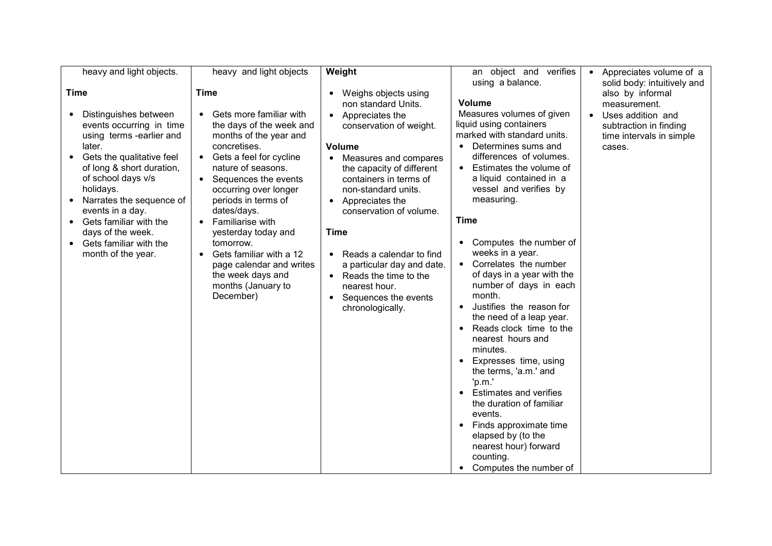| heavy and light objects.                                                                                                                                                                                                                                                                                                                                                     | heavy and light objects                                                                                                                                                                                                                                                                                                                                                                                                                                                                      | Weight                                                                                                                                                                                                                                                                                                                                                                                                                                       | an object and verifies                                                                                                                                                                                                                                                                                                                                                                                                                                                                                                                                                                                                                                                                                                                                                                              | Appreciates volume of a<br>$\bullet$                                                                                                                              |
|------------------------------------------------------------------------------------------------------------------------------------------------------------------------------------------------------------------------------------------------------------------------------------------------------------------------------------------------------------------------------|----------------------------------------------------------------------------------------------------------------------------------------------------------------------------------------------------------------------------------------------------------------------------------------------------------------------------------------------------------------------------------------------------------------------------------------------------------------------------------------------|----------------------------------------------------------------------------------------------------------------------------------------------------------------------------------------------------------------------------------------------------------------------------------------------------------------------------------------------------------------------------------------------------------------------------------------------|-----------------------------------------------------------------------------------------------------------------------------------------------------------------------------------------------------------------------------------------------------------------------------------------------------------------------------------------------------------------------------------------------------------------------------------------------------------------------------------------------------------------------------------------------------------------------------------------------------------------------------------------------------------------------------------------------------------------------------------------------------------------------------------------------------|-------------------------------------------------------------------------------------------------------------------------------------------------------------------|
| <b>Time</b><br>Distinguishes between<br>$\bullet$<br>events occurring in time<br>using terms -earlier and<br>later.<br>Gets the qualitative feel<br>of long & short duration,<br>of school days v/s<br>holidays.<br>Narrates the sequence of<br>events in a day.<br>Gets familiar with the<br>$\bullet$<br>days of the week.<br>Gets familiar with the<br>month of the year. | <b>Time</b><br>Gets more familiar with<br>$\bullet$<br>the days of the week and<br>months of the year and<br>concretises.<br>Gets a feel for cycline<br>$\bullet$<br>nature of seasons.<br>Sequences the events<br>$\bullet$<br>occurring over longer<br>periods in terms of<br>dates/days.<br>Familiarise with<br>$\bullet$<br>yesterday today and<br>tomorrow.<br>Gets familiar with a 12<br>$\bullet$<br>page calendar and writes<br>the week days and<br>months (January to<br>December) | • Weighs objects using<br>non standard Units.<br>• Appreciates the<br>conservation of weight.<br><b>Volume</b><br>• Measures and compares<br>the capacity of different<br>containers in terms of<br>non-standard units.<br>• Appreciates the<br>conservation of volume.<br><b>Time</b><br>• Reads a calendar to find<br>a particular day and date.<br>• Reads the time to the<br>nearest hour.<br>• Sequences the events<br>chronologically. | using a balance.<br>Volume<br>Measures volumes of given<br>liquid using containers<br>marked with standard units.<br>Determines sums and<br>differences of volumes.<br>Estimates the volume of<br>a liquid contained in a<br>vessel and verifies by<br>measuring.<br><b>Time</b><br>Computes the number of<br>weeks in a year.<br>• Correlates the number<br>of days in a year with the<br>number of days in each<br>month.<br>Justifies the reason for<br>the need of a leap year.<br>Reads clock time to the<br>nearest hours and<br>minutes.<br>Expresses time, using<br>the terms, 'a.m.' and<br>'p.m.'<br><b>Estimates and verifies</b><br>the duration of familiar<br>events.<br>Finds approximate time<br>elapsed by (to the<br>nearest hour) forward<br>counting.<br>Computes the number of | solid body: intuitively and<br>also by informal<br>measurement.<br>Uses addition and<br>$\bullet$<br>subtraction in finding<br>time intervals in simple<br>cases. |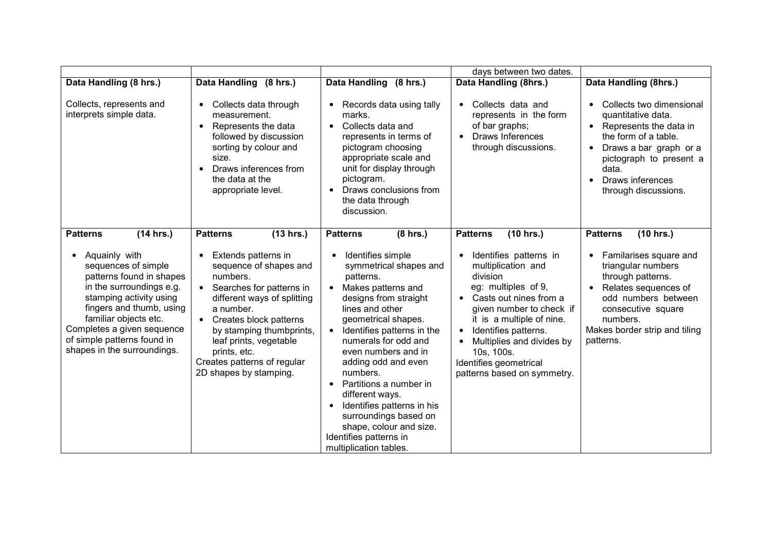|                                                                                                                                                                                                                                                                                                          |                                                                                                                                                                                                                                                                                                                                                        |                                                                                                                                                                                                                                                                                                                                                                                                                                                                                                                                         | days between two dates.                                                                                                                                                                                                                                                                                                                       |                                                                                                                                                                                                                                  |
|----------------------------------------------------------------------------------------------------------------------------------------------------------------------------------------------------------------------------------------------------------------------------------------------------------|--------------------------------------------------------------------------------------------------------------------------------------------------------------------------------------------------------------------------------------------------------------------------------------------------------------------------------------------------------|-----------------------------------------------------------------------------------------------------------------------------------------------------------------------------------------------------------------------------------------------------------------------------------------------------------------------------------------------------------------------------------------------------------------------------------------------------------------------------------------------------------------------------------------|-----------------------------------------------------------------------------------------------------------------------------------------------------------------------------------------------------------------------------------------------------------------------------------------------------------------------------------------------|----------------------------------------------------------------------------------------------------------------------------------------------------------------------------------------------------------------------------------|
| Data Handling (8 hrs.)                                                                                                                                                                                                                                                                                   | Data Handling (8 hrs.)                                                                                                                                                                                                                                                                                                                                 | Data Handling (8 hrs.)                                                                                                                                                                                                                                                                                                                                                                                                                                                                                                                  | Data Handling (8hrs.)                                                                                                                                                                                                                                                                                                                         | Data Handling (8hrs.)                                                                                                                                                                                                            |
| Collects, represents and<br>interprets simple data.                                                                                                                                                                                                                                                      | Collects data through<br>$\bullet$<br>measurement.<br>Represents the data<br>$\bullet$<br>followed by discussion<br>sorting by colour and<br>size.<br>Draws inferences from<br>$\bullet$<br>the data at the<br>appropriate level.                                                                                                                      | Records data using tally<br>$\bullet$<br>marks.<br>Collects data and<br>$\bullet$<br>represents in terms of<br>pictogram choosing<br>appropriate scale and<br>unit for display through<br>pictogram.<br>Draws conclusions from<br>the data through<br>discussion.                                                                                                                                                                                                                                                                       | Collects data and<br>$\bullet$<br>represents in the form<br>of bar graphs;<br><b>Draws Inferences</b><br>$\bullet$<br>through discussions.                                                                                                                                                                                                    | Collects two dimensional<br>quantitative data.<br>• Represents the data in<br>the form of a table.<br>Draws a bar graph or a<br>pictograph to present a<br>data.<br>Draws inferences<br>through discussions.                     |
| (14 hrs.)<br><b>Patterns</b><br>Aquainly with<br>sequences of simple<br>patterns found in shapes<br>in the surroundings e.g.<br>stamping activity using<br>fingers and thumb, using<br>familiar objects etc.<br>Completes a given sequence<br>of simple patterns found in<br>shapes in the surroundings. | <b>Patterns</b><br>(13 hrs.)<br>Extends patterns in<br>$\bullet$<br>sequence of shapes and<br>numbers.<br>Searches for patterns in<br>$\bullet$<br>different ways of splitting<br>a number.<br>• Creates block patterns<br>by stamping thumbprints,<br>leaf prints, vegetable<br>prints, etc.<br>Creates patterns of regular<br>2D shapes by stamping. | <b>Patterns</b><br>(8 hrs.)<br>Identifies simple<br>$\bullet$<br>symmetrical shapes and<br>patterns.<br>Makes patterns and<br>$\bullet$<br>designs from straight<br>lines and other<br>geometrical shapes.<br>Identifies patterns in the<br>numerals for odd and<br>even numbers and in<br>adding odd and even<br>numbers.<br>Partitions a number in<br>$\bullet$<br>different ways.<br>Identifies patterns in his<br>$\bullet$<br>surroundings based on<br>shape, colour and size.<br>Identifies patterns in<br>multiplication tables. | <b>Patterns</b><br>(10 hrs.)<br>Identifies patterns in<br>$\bullet$<br>multiplication and<br>division<br>eg: multiples of 9,<br>• Casts out nines from a<br>given number to check if<br>it is a multiple of nine.<br>Identifies patterns.<br>Multiplies and divides by<br>10s, 100s.<br>Identifies geometrical<br>patterns based on symmetry. | <b>Patterns</b><br>(10 hrs.)<br>Familarises square and<br>triangular numbers<br>through patterns.<br>Relates sequences of<br>odd numbers between<br>consecutive square<br>numbers.<br>Makes border strip and tiling<br>patterns. |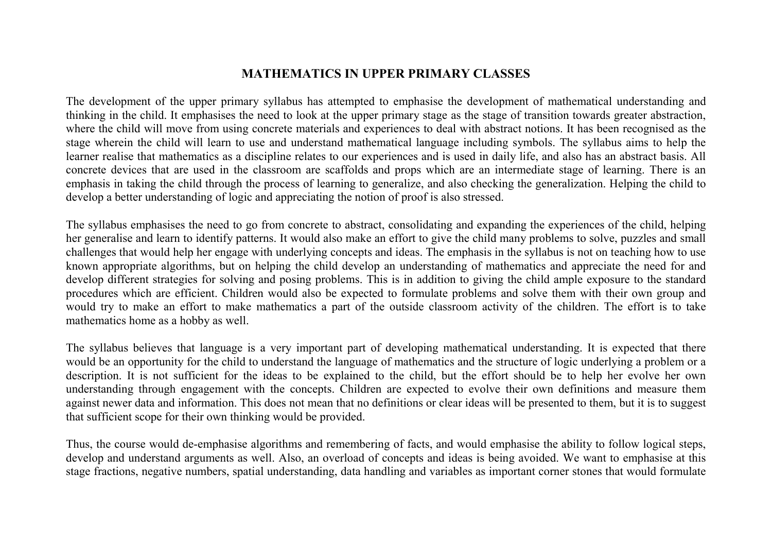### **MATHEMATICS IN UPPER PRIMARY CLASSES**

The development of the upper primary syllabus has attempted to emphasise the development of mathematical understanding and thinking in the child. It emphasises the need to look at the upper primary stage as the stage of transition towards greater abstraction, where the child will move from using concrete materials and experiences to deal with abstract notions. It has been recognised as the stage wherein the child will learn to use and understand mathematical language including symbols. The syllabus aims to help the learner realise that mathematics as a discipline relates to our experiences and is used in daily life, and also has an abstract basis. All concrete devices that are used in the classroom are scaffolds and props which are an intermediate stage of learning. There is an emphasis in taking the child through the process of learning to generalize, and also checking the generalization. Helping the child to develop a better understanding of logic and appreciating the notion of proof is also stressed.

The syllabus emphasises the need to go from concrete to abstract, consolidating and expanding the experiences of the child, helping her generalise and learn to identify patterns. It would also make an effort to give the child many problems to solve, puzzles and small challenges that would help her engage with underlying concepts and ideas. The emphasis in the syllabus is not on teaching how to use known appropriate algorithms, but on helping the child develop an understanding of mathematics and appreciate the need for and develop different strategies for solving and posing problems. This is in addition to giving the child ample exposure to the standard procedures which are efficient. Children would also be expected to formulate problems and solve them with their own group and would try to make an effort to make mathematics a part of the outside classroom activity of the children. The effort is to take mathematics home as a hobby as well.

The syllabus believes that language is a very important part of developing mathematical understanding. It is expected that there would be an opportunity for the child to understand the language of mathematics and the structure of logic underlying a problem or a description. It is not sufficient for the ideas to be explained to the child, but the effort should be to help her evolve her own understanding through engagement with the concepts. Children are expected to evolve their own definitions and measure them against newer data and information. This does not mean that no definitions or clear ideas will be presented to them, but it is to suggest that sufficient scope for their own thinking would be provided.

Thus, the course would de-emphasise algorithms and remembering of facts, and would emphasise the ability to follow logical steps, develop and understand arguments as well. Also, an overload of concepts and ideas is being avoided. We want to emphasise at this stage fractions, negative numbers, spatial understanding, data handling and variables as important corner stones that would formulate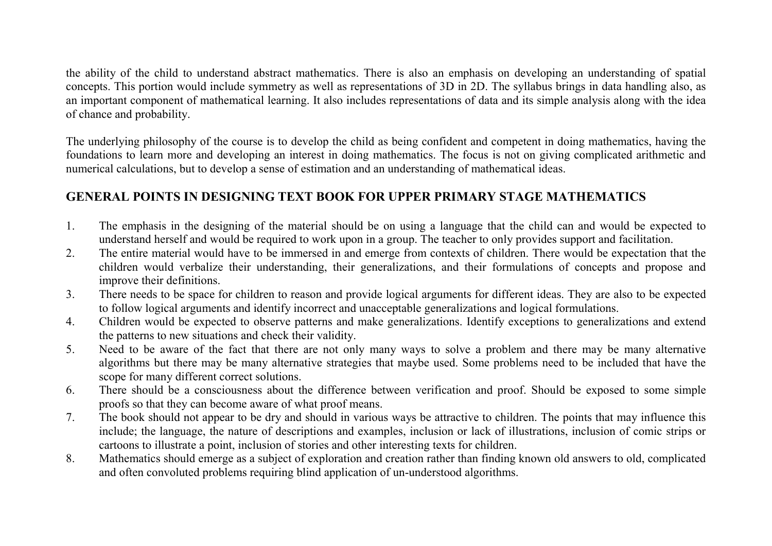the ability of the child to understand abstract mathematics. There is also an emphasis on developing an understanding of spatial concepts. This portion would include symmetry as well as representations of 3D in 2D. The syllabus brings in data handling also, as an important component of mathematical learning. It also includes representations of data and its simple analysis along with the idea of chance and probability.

The underlying philosophy of the course is to develop the child as being confident and competent in doing mathematics, having the foundations to learn more and developing an interest in doing mathematics. The focus is not on giving complicated arithmetic and numerical calculations, but to develop a sense of estimation and an understanding of mathematical ideas.

### **GENERAL POINTS IN DESIGNING TEXT BOOK FOR UPPER PRIMARY STAGE MATHEMATICS**

- 1. The emphasis in the designing of the material should be on using a language that the child can and would be expected to understand herself and would be required to work upon in a group. The teacher to only provides support and facilitation.
- 2. The entire material would have to be immersed in and emerge from contexts of children. There would be expectation that the children would verbalize their understanding, their generalizations, and their formulations of concepts and propose and improve their definitions.
- 3. There needs to be space for children to reason and provide logical arguments for different ideas. They are also to be expectedto follow logical arguments and identify incorrect and unacceptable generalizations and logical formulations.
- 4. Children would be expected to observe patterns and make generalizations. Identify exceptions to generalizations and extend the patterns to new situations and check their validity.
- 5. Need to be aware of the fact that there are not only many ways to solve a problem and there may be many alternative algorithms but there may be many alternative strategies that maybe used. Some problems need to be included that have the scope for many different correct solutions.
- 6. There should be a consciousness about the difference between verification and proof. Should be exposed to some simple proofs so that they can become aware of what proof means.
- 7. The book should not appear to be dry and should in various ways be attractive to children. The points that may influence this include; the language, the nature of descriptions and examples, inclusion or lack of illustrations, inclusion of comic strips or cartoons to illustrate a point, inclusion of stories and other interesting texts for children.
- 8. Mathematics should emerge as a subject of exploration and creation rather than finding known old answers to old, complicated and often convoluted problems requiring blind application of un-understood algorithms.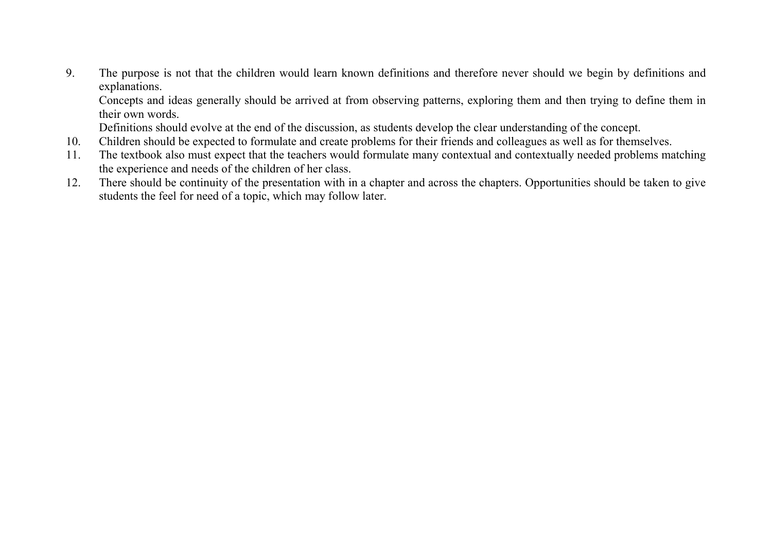9. The purpose is not that the children would learn known definitions and therefore never should we begin by definitions and explanations.

 Concepts and ideas generally should be arrived at from observing patterns, exploring them and then trying to define them in their own words.

Definitions should evolve at the end of the discussion, as students develop the clear understanding of the concept.

- 10. Children should be expected to formulate and create problems for their friends and colleagues as well as for themselves.
- 11. The textbook also must expect that the teachers would formulate many contextual and contextually needed problems matching the experience and needs of the children of her class.
- 12. There should be continuity of the presentation with in a chapter and across the chapters. Opportunities should be taken to give students the feel for need of a topic, which may follow later.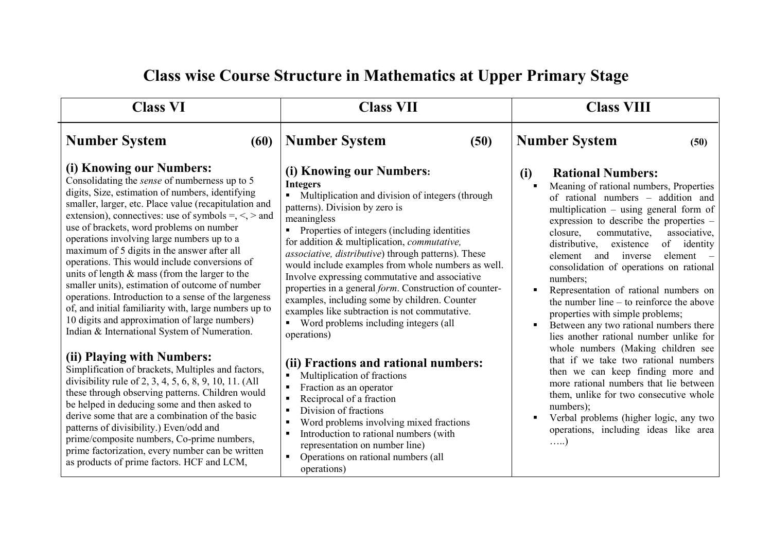#### **Class VI Number System (60) (i) Knowing our Numbers:**  Consolidating the *sense* of numberness up to 5 digits, Size, estimation of numbers, identifying smaller, larger, etc. Place value (recapitulation and extension), connectives: use of symbols =,  $\le$ ,  $>$  and use of brackets, word problems on number operations involving large numbers up to a maximum of 5 digits in the answer after all operations. This would include conversions of units of length & mass (from the larger to the smaller units), estimation of outcome of number operations. Introduction to a sense of the largeness of, and initial familiarity with, large numbers up to 10 digits and approximation of large numbers) Indian & International System of Numeration. **(ii) Playing with Numbers:**  Simplification of brackets, Multiples and factors, divisibility rule of 2, 3, 4, 5, 6, 8, 9, 10, 11. (All these through observing patterns. Children would be helped in deducing some and then asked to derive some that are a combination of the basic patterns of divisibility.) Even/odd and prime/composite numbers, Co-prime numbers, prime factorization, every number can be written as products of prime factors. HCF and LCM,  **Class VII Number System (50) (i) Knowing our Numbers: Integers Multiplication and division of integers (through** patterns). Division by zero is meaningless **Properties of integers (including identities** for addition & multiplication, *commutative, associative, distributive*) through patterns). These would include examples from whole numbers as well. Involve expressing commutative and associative properties in a general *form*. Construction of counterexamples, including some by children. Counter examples like subtraction is not commutative. Word problems including integers (all operations) **(ii) Fractions and rational numbers:**  $\blacksquare$  Multiplication of fractions Fraction as an operator Reciprocal of a fraction Division of fractions **Word problems involving mixed fractions** Introduction to rational numbers (with representation on number line) • Operations on rational numbers (all operations)  **Class VIII Number System (50) (i) Rational Numbers:**   $\blacksquare$  . Meaning of rational numbers, Properties of rational numbers – addition and multiplication – using general form of expression to describe the properties – closure, commutative, associative, distributive, existence of identity element and inverse element – consolidation of operations on rational numbers; г Representation of rational numbers on the number line – to reinforce the above properties with simple problems; Between any two rational numbers there  $\mathbf{r}$ lies another rational number unlike for whole numbers (Making children see that if we take two rational numbers then we can keep finding more and more rational numbers that lie between them, unlike for two consecutive whole numbers)<sup>.</sup> Verbal problems (higher logic, any two Е operations, including ideas like area …..)

## **Class wise Course Structure in Mathematics at Upper Primary Stage**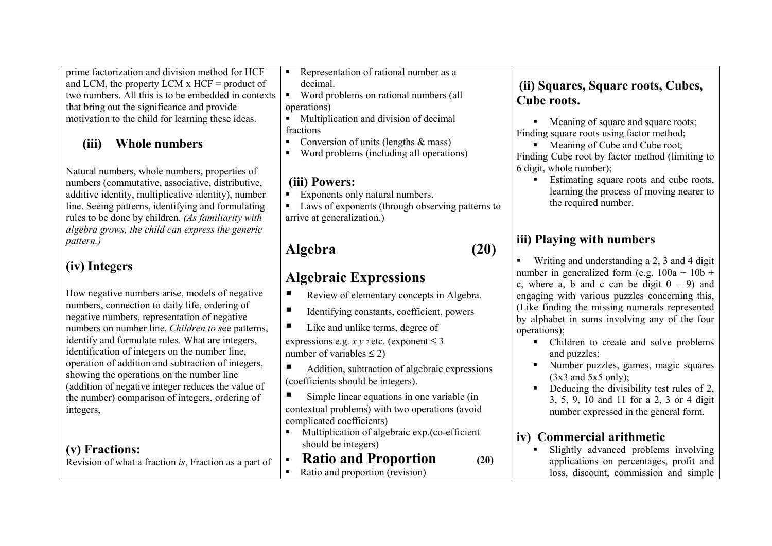prime factorization and division method for HCF and LCM, the property LCM x HCF = product of two numbers. All this is to be embedded in contexts that bring out the significance and provide motivation to the child for learning these ideas.

#### **(iii)Whole numbers**

Natural numbers, whole numbers, properties of numbers (commutative, associative, distributive, additive identity, multiplicative identity), number line. Seeing patterns, identifying and formulating rules to be done by children. *(As familiarity with algebra grows, the child can express the genericpattern.)* 

## **(iv) Integers**

How negative numbers arise, models of negative numbers, connection to daily life, ordering of negative numbers, representation of negative numbers on number line. *Children to s*ee patterns, identify and formulate rules. What are integers, identification of integers on the number line, operation of addition and subtraction of integers, showing the operations on the number line (addition of negative integer reduces the value of the number) comparison of integers, ordering of integers,

### **(v) Fractions:**

Revision of what a fraction *is*, Fraction as a part of

- Representation of rational number as a decimal.
- Word problems on rational numbers (all operations)
- **Multiplication and division of decimal** fractions
- Conversion of units (lengths  $&$  mass)
- Word problems (including all operations)

### **(iii) Powers:**

- Exponents only natural numbers.
- **Laws of exponents (through observing patterns to** arrive at generalization.)

## **Algebra (20)**

## **Algebraic Expressions**

- Review of elementary concepts in Algebra.
- $\blacksquare$  Identifying constants, coefficient, powers
- Like and unlike terms, degree of expressions e.g.  $x y_2$  etc. (exponent  $\leq 3$ ) number of variables  $\leq$  2)
- Addition, subtraction of algebraic expressions (coefficients should be integers).

 Simple linear equations in one variable (in contextual problems) with two operations (avoid complicated coefficients)

- **Multiplication of algebraic exp.(co-efficient** should be integers)
- ۳ **Ratio and Proportion (20)** 
	- Ratio and proportion (revision)

### **(ii) Squares, Square roots, Cubes, Cube roots.**

• Meaning of square and square roots; Finding square roots using factor method;

• Meaning of Cube and Cube root; Finding Cube root by factor method (limiting to 6 digit, whole number);

**Estimating square roots and cube roots,** г learning the process of moving nearer to the required number.

## **iii) Playing with numbers**

■ Writing and understanding a 2, 3 and 4 digit number in generalized form (e.g.  $100a + 10b +$ c, where a, b and c can be digit  $0 - 9$ ) and engaging with various puzzles concerning this, (Like finding the missing numerals represented by alphabet in sums involving any of the four operations);

- Children to create and solve problems and puzzles;
- Number puzzles, games, magic squares Е  $(3x3 \text{ and } 5x5 \text{ only})$ ;
- Deducing the divisibility test rules of 2, 3, 5, 9, 10 and 11 for a 2, 3 or 4 digit number expressed in the general form.

### **iv) Commercial arithmetic**

 Slightly advanced problems involving  $\mathbf{r}$  . applications on percentages, profit and loss, discount, commission and simple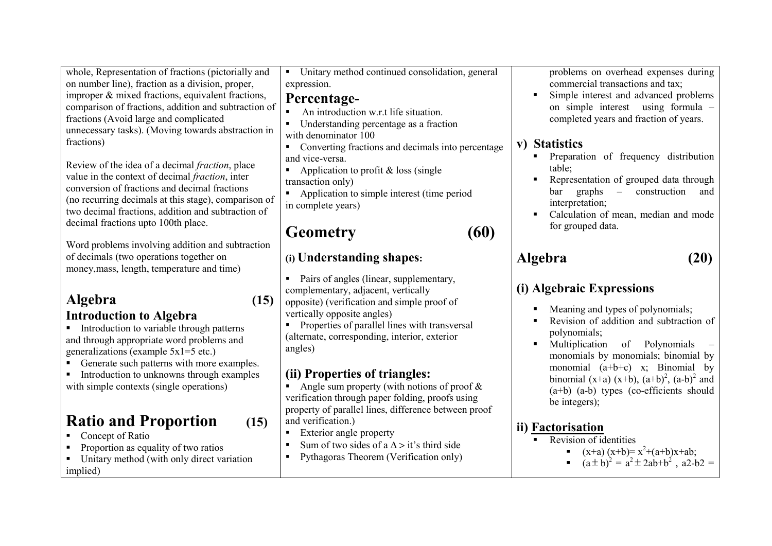| whole, Representation of fractions (pictorially and<br>on number line), fraction as a division, proper,<br>improper & mixed fractions, equivalent fractions,<br>comparison of fractions, addition and subtraction of<br>fractions (Avoid large and complicated<br>unnecessary tasks). (Moving towards abstraction in<br>fractions)<br>Review of the idea of a decimal <i>fraction</i> , place<br>value in the context of decimal <i>fraction</i> , inter<br>conversion of fractions and decimal fractions<br>(no recurring decimals at this stage), comparison of<br>two decimal fractions, addition and subtraction of<br>decimal fractions upto 100th place. | Unitary method continued consolidation, general<br>$\blacksquare$<br>expression.<br>Percentage-<br>An introduction w.r.t life situation.<br>Understanding percentage as a fraction<br>with denominator 100<br>Converting fractions and decimals into percentage<br>$\blacksquare$<br>and vice-versa.<br>Application to profit & loss (single<br>$\blacksquare$<br>transaction only)<br>Application to simple interest (time period<br>in complete years)                                                                                                                                                                                                         | problems on overhead expenses during<br>commercial transactions and tax;<br>Simple interest and advanced problems<br>on simple interest using formula -<br>completed years and fraction of years.<br>v) Statistics<br>Preparation of frequency distribution<br>table;<br>Representation of grouped data through<br>graphs<br>construction<br>bar<br>$\sim$<br>and<br>interpretation;<br>Calculation of mean, median and mode<br>for grouped data.                                                           |
|----------------------------------------------------------------------------------------------------------------------------------------------------------------------------------------------------------------------------------------------------------------------------------------------------------------------------------------------------------------------------------------------------------------------------------------------------------------------------------------------------------------------------------------------------------------------------------------------------------------------------------------------------------------|------------------------------------------------------------------------------------------------------------------------------------------------------------------------------------------------------------------------------------------------------------------------------------------------------------------------------------------------------------------------------------------------------------------------------------------------------------------------------------------------------------------------------------------------------------------------------------------------------------------------------------------------------------------|-------------------------------------------------------------------------------------------------------------------------------------------------------------------------------------------------------------------------------------------------------------------------------------------------------------------------------------------------------------------------------------------------------------------------------------------------------------------------------------------------------------|
| Word problems involving addition and subtraction<br>of decimals (two operations together on<br>money, mass, length, temperature and time)                                                                                                                                                                                                                                                                                                                                                                                                                                                                                                                      | (60)<br><b>Geometry</b><br>(i) Understanding shapes:                                                                                                                                                                                                                                                                                                                                                                                                                                                                                                                                                                                                             | (20)<br><b>Algebra</b>                                                                                                                                                                                                                                                                                                                                                                                                                                                                                      |
| Algebra<br>(15)<br><b>Introduction to Algebra</b><br>• Introduction to variable through patterns<br>and through appropriate word problems and<br>generalizations (example $5x1=5$ etc.)<br>Generate such patterns with more examples.<br>Introduction to unknowns through examples<br>with simple contexts (single operations)<br><b>Ratio and Proportion</b><br>(15)<br>Concept of Ratio<br>Proportion as equality of two ratios<br>Unitary method (with only direct variation<br>implied)                                                                                                                                                                    | Pairs of angles (linear, supplementary,<br>٠<br>complementary, adjacent, vertically<br>opposite) (verification and simple proof of<br>vertically opposite angles)<br>Properties of parallel lines with transversal<br>(alternate, corresponding, interior, exterior<br>angles)<br>(ii) Properties of triangles:<br>Angle sum property (with notions of proof $\&$<br>verification through paper folding, proofs using<br>property of parallel lines, difference between proof<br>and verification.)<br>Exterior angle property<br>Sum of two sides of a $\Delta >$ it's third side<br>$\blacksquare$<br>Pythagoras Theorem (Verification only)<br>$\blacksquare$ | (i) Algebraic Expressions<br>Meaning and types of polynomials;<br>Revision of addition and subtraction of<br>polynomials;<br>of Polynomials<br>Multiplication<br>monomials by monomials; binomial by<br>monomial $(a+b+c)$ x; Binomial by<br>binomial (x+a) (x+b), $(a+b)^2$ , $(a-b)^2$ and<br>$(a+b)$ $(a-b)$ types (co-efficients should<br>be integers);<br>ii) Factorisation<br>Revision of identities<br>$\blacksquare$<br>$(x+a)(x+b)=x^2+(a+b)x+ab;$<br>$(a \pm b)^2 = a^2 \pm 2ab + b^2$ , a2-b2 = |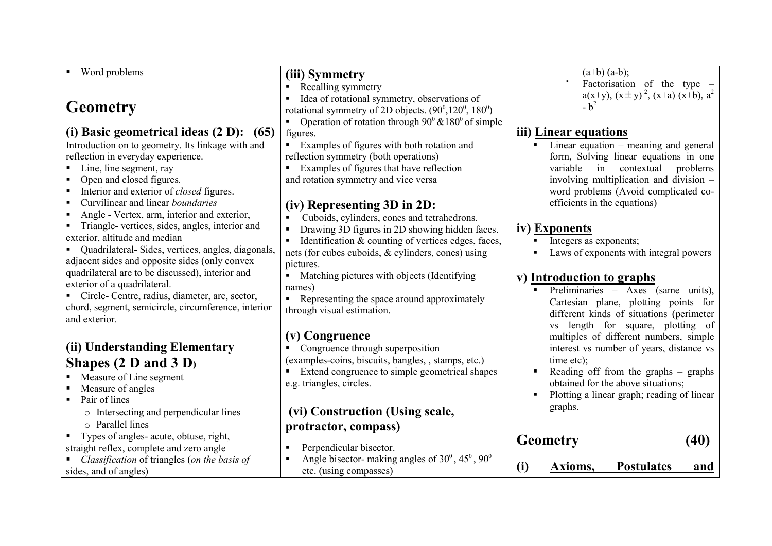| Word problems<br>٠                                                | (iii) Symmetry                                                              | $(a+b)$ $(a-b)$ ;                                                           |
|-------------------------------------------------------------------|-----------------------------------------------------------------------------|-----------------------------------------------------------------------------|
|                                                                   | Recalling symmetry                                                          | Factorisation of the type –                                                 |
|                                                                   | Idea of rotational symmetry, observations of<br>$\blacksquare$              | $a(x+y)$ , $(x \pm y)^2$ , $(x+a)$ $(x+b)$ , $a^2$                          |
| <b>Geometry</b>                                                   | rotational symmetry of 2D objects. $(90^0, 120^0, 180^0)$                   | $-b^2$                                                                      |
|                                                                   | Operation of rotation through $90^{\circ}$ & 180 <sup>°</sup> of simple     |                                                                             |
| (i) Basic geometrical ideas $(2 D)$ : $(65)$                      | figures.                                                                    | iii) Linear equations                                                       |
| Introduction on to geometry. Its linkage with and                 | Examples of figures with both rotation and                                  | Linear equation $-$ meaning and general                                     |
| reflection in everyday experience.                                | reflection symmetry (both operations)                                       | form, Solving linear equations in one                                       |
| Line, line segment, ray<br>٠                                      | Examples of figures that have reflection<br>$\blacksquare$                  | variable<br>contextual<br>in<br>problems                                    |
| Open and closed figures.<br>п                                     | and rotation symmetry and vice versa                                        | involving multiplication and division -                                     |
| Interior and exterior of <i>closed</i> figures.<br>$\blacksquare$ |                                                                             | word problems (Avoid complicated co-                                        |
| Curvilinear and linear boundaries<br>п                            | (iv) Representing 3D in 2D:                                                 | efficients in the equations)                                                |
| Angle - Vertex, arm, interior and exterior,<br>п                  | Cuboids, cylinders, cones and tetrahedrons.<br>$\blacksquare$               |                                                                             |
| Triangle- vertices, sides, angles, interior and                   | Drawing 3D figures in 2D showing hidden faces.<br>$\blacksquare$            | iv) Exponents                                                               |
| exterior, altitude and median                                     | Identification & counting of vertices edges, faces,<br>$\blacksquare$       | Integers as exponents;                                                      |
| Quadrilateral-Sides, vertices, angles, diagonals,<br>٠            | nets (for cubes cuboids, & cylinders, cones) using                          | Laws of exponents with integral powers                                      |
| adjacent sides and opposite sides (only convex                    | pictures.                                                                   |                                                                             |
| quadrilateral are to be discussed), interior and                  | Matching pictures with objects (Identifying<br>$\blacksquare$               |                                                                             |
| exterior of a quadrilateral.                                      | names)                                                                      | v) Introduction to graphs                                                   |
| Circle-Centre, radius, diameter, arc, sector,                     | Representing the space around approximately<br>$\blacksquare$               | Preliminaries - Axes (same units),                                          |
| chord, segment, semicircle, circumference, interior               | through visual estimation.                                                  | Cartesian plane, plotting points for                                        |
| and exterior.                                                     |                                                                             | different kinds of situations (perimeter                                    |
|                                                                   | (v) Congruence                                                              | vs length for square, plotting of<br>multiples of different numbers, simple |
| (ii) Understanding Elementary                                     | Congruence through superposition                                            |                                                                             |
|                                                                   | (examples-coins, biscuits, bangles, , stamps, etc.)                         | interest vs number of years, distance vs<br>time etc);                      |
| Shapes $(2 D and 3 D)$                                            | Extend congruence to simple geometrical shapes<br>$\blacksquare$            | Reading off from the graphs – graphs<br>$\blacksquare$                      |
| Measure of Line segment                                           | e.g. triangles, circles.                                                    | obtained for the above situations;                                          |
| Measure of angles                                                 |                                                                             | Plotting a linear graph; reading of linear                                  |
| Pair of lines<br>п                                                |                                                                             | graphs.                                                                     |
| o Intersecting and perpendicular lines                            | (vi) Construction (Using scale,                                             |                                                                             |
| $\circ$ Parallel lines                                            | protractor, compass)                                                        |                                                                             |
| Types of angles- acute, obtuse, right,<br>٠                       |                                                                             | (40)<br><b>Geometry</b>                                                     |
| straight reflex, complete and zero angle                          | Perpendicular bisector.<br>$\blacksquare$                                   |                                                                             |
| Classification of triangles (on the basis of                      | Angle bisector- making angles of $30^{\circ}$ , $45^{\circ}$ , $90^{\circ}$ | <b>Postulates</b><br>(i)<br>Axioms,<br>and                                  |
| sides, and of angles)                                             | etc. (using compasses)                                                      |                                                                             |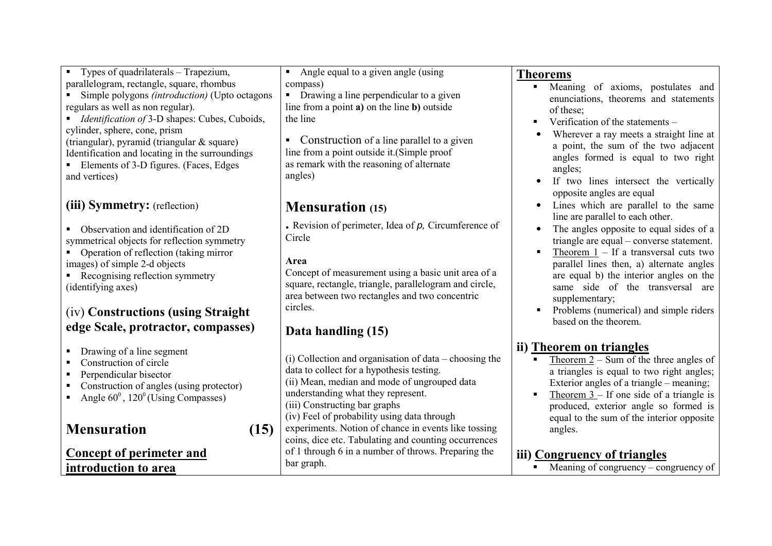Types of quadrilaterals – Trapezium, parallelogram, rectangle, square, rhombus

 Simple polygons *(introduction)* (Upto octagons regulars as well as non regular).

■ *Identification of* 3-D shapes: Cubes, Cuboids, cylinder, sphere, cone, prism (triangular), pyramid (triangular & square) Identification and locating in the surroundings

Elements of 3-D figures. (Faces, Edges and vertices)

### **(iii) Symmetry:** (reflection)

■ Observation and identification of 2D symmetrical objects for reflection symmetry

• Operation of reflection (taking mirror images) of simple 2-d objects

Recognising reflection symmetry (identifying axes)

### (iv) **Constructions (using Straight edge Scale, protractor, compasses)**

- Drawing of a line segment
- Construction of circle
- **Perpendicular bisector**
- Construction of angles (using protector)
- Angle  $60^{\circ}$ , 120<sup>°</sup> (Using Compasses)

### **Mensuration (15)**

### **Concept of perimeter and introduction to area**

 Angle equal to a given angle (using compass)

**Drawing a line perpendicular to a given** line from a point **a)** on the line **b)** outside the line

• Construction of a line parallel to a given line from a point outside it.(Simple proof as remark with the reasoning of alternate angles)

## **Mensuration (15)**

**.** Revision of perimeter, Idea of *p,* Circumference of Circle

### **Area**

 Concept of measurement using a basic unit area of a square, rectangle, triangle, parallelogram and circle, area between two rectangles and two concentric circles.

## **Data handling (15)**

(i) Collection and organisation of data – choosing the data to collect for a hypothesis testing. (ii) Mean, median and mode of ungrouped data understanding what they represent. (iii) Constructing bar graphs (iv) Feel of probability using data through experiments. Notion of chance in events like tossing coins, dice etc. Tabulating and counting occurrences of 1 through 6 in a number of throws. Preparing the bar graph.

### **Theorems**

- Meaning of axioms, postulates and Г enunciations, theorems and statements of these;
- Verification of the statements Г
- • Wherever a ray meets a straight line at a point, the sum of the two adjacent angles formed is equal to two right angles;
- If two lines intersect the vertically •opposite angles are equal
- Lines which are parallel to the same line are parallel to each other.
- • The angles opposite to equal sides of a triangle are equal – converse statement.
- Theorem  $1 -$  If a transversal cuts two  $\blacksquare$ parallel lines then, a) alternate angles are equal b) the interior angles on the same side of the transversal are supplementary;
- **Problems (numerical) and simple riders**  $\blacksquare$  . based on the theorem.

### **ii) Theorem on triangles**

- Theorem  $2$  Sum of the three angles of Е a triangles is equal to two right angles; Exterior angles of a triangle – meaning;
- Theorem  $3 -$  If one side of a triangle is Е produced, exterior angle so formed is equal to the sum of the interior opposite angles.

### **iii) Congruency of triangles**

Meaning of congruency – congruency of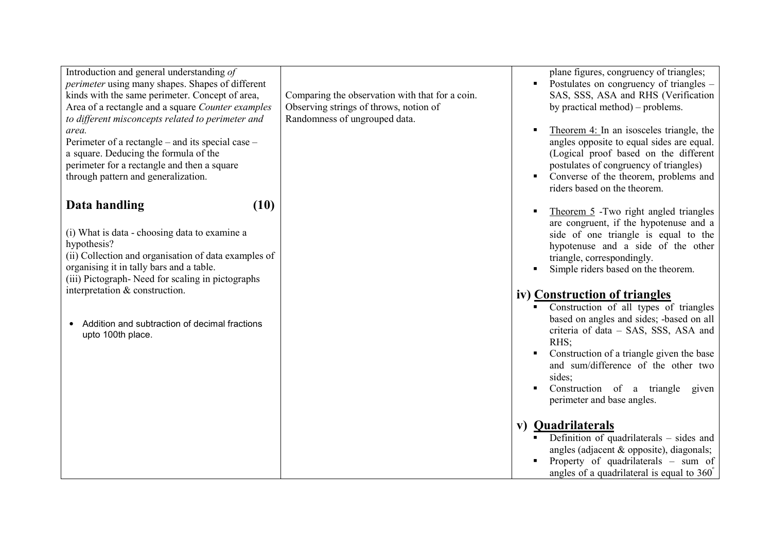| Introduction and general understanding of<br><i>perimeter</i> using many shapes. Shapes of different<br>kinds with the same perimeter. Concept of area,<br>Area of a rectangle and a square Counter examples<br>to different misconcepts related to perimeter and<br>area.<br>Perimeter of a rectangle – and its special case –<br>a square. Deducing the formula of the<br>perimeter for a rectangle and then a square<br>through pattern and generalization. | Comparing the observation with that for a coin.<br>Observing strings of throws, notion of<br>Randomness of ungrouped data. | plane figures, congruency of triangles;<br>Postulates on congruency of triangles –<br>$\blacksquare$<br>SAS, SSS, ASA and RHS (Verification<br>by practical method) – problems.<br>Theorem 4: In an isosceles triangle, the<br>$\blacksquare$<br>angles opposite to equal sides are equal.<br>(Logical proof based on the different<br>postulates of congruency of triangles)<br>Converse of the theorem, problems and<br>$\blacksquare$<br>riders based on the theorem.                                                                                                                                                                                                                                                                                                                                                                                         |
|----------------------------------------------------------------------------------------------------------------------------------------------------------------------------------------------------------------------------------------------------------------------------------------------------------------------------------------------------------------------------------------------------------------------------------------------------------------|----------------------------------------------------------------------------------------------------------------------------|------------------------------------------------------------------------------------------------------------------------------------------------------------------------------------------------------------------------------------------------------------------------------------------------------------------------------------------------------------------------------------------------------------------------------------------------------------------------------------------------------------------------------------------------------------------------------------------------------------------------------------------------------------------------------------------------------------------------------------------------------------------------------------------------------------------------------------------------------------------|
| (10)<br>Data handling<br>(i) What is data - choosing data to examine a<br>hypothesis?<br>(ii) Collection and organisation of data examples of<br>organising it in tally bars and a table.<br>(iii) Pictograph- Need for scaling in pictographs<br>interpretation & construction.<br>Addition and subtraction of decimal fractions<br>upto 100th place.                                                                                                         |                                                                                                                            | Theorem 5 - Two right angled triangles<br>$\blacksquare$<br>are congruent, if the hypotenuse and a<br>side of one triangle is equal to the<br>hypotenuse and a side of the other<br>triangle, correspondingly.<br>Simple riders based on the theorem.<br>iv) Construction of triangles<br>Construction of all types of triangles<br>based on angles and sides; -based on all<br>criteria of data - SAS, SSS, ASA and<br>RHS:<br>Construction of a triangle given the base<br>$\blacksquare$<br>and sum/difference of the other two<br>sides;<br>Construction of a triangle<br>$\blacksquare$<br>given<br>perimeter and base angles.<br>v) Quadrilaterals<br>Definition of quadrilaterals $-$ sides and<br>$\blacksquare$<br>angles (adjacent & opposite), diagonals;<br>Property of quadrilaterals - sum of<br>angles of a quadrilateral is equal to $360^\circ$ |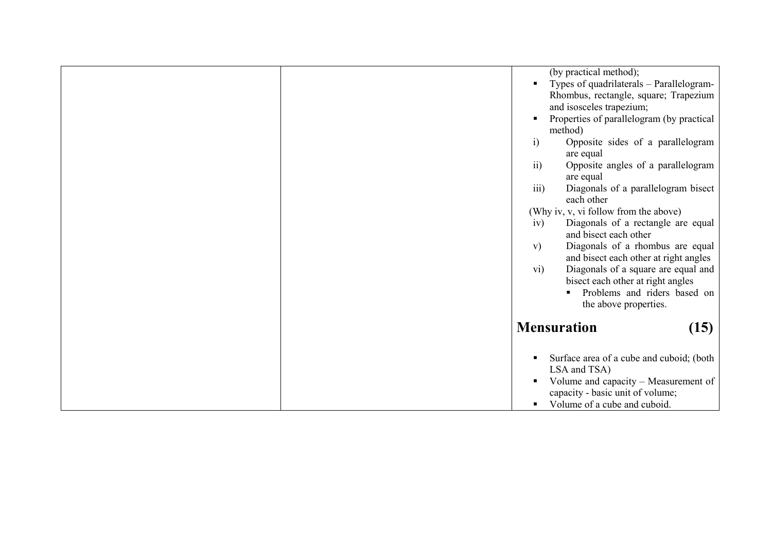|  |                 | (by practical method);<br>Types of quadrilaterals - Parallelogram-        |      |
|--|-----------------|---------------------------------------------------------------------------|------|
|  |                 | Rhombus, rectangle, square; Trapezium<br>and isosceles trapezium;         |      |
|  |                 | Properties of parallelogram (by practical                                 |      |
|  | $\ddot{i}$      | method)<br>Opposite sides of a parallelogram                              |      |
|  | $\overline{ii}$ | are equal<br>Opposite angles of a parallelogram                           |      |
|  | iii)            | are equal<br>Diagonals of a parallelogram bisect                          |      |
|  |                 | each other<br>(Why iv, v, vi follow from the above)                       |      |
|  | iv)             | Diagonals of a rectangle are equal<br>and bisect each other               |      |
|  | V)              | Diagonals of a rhombus are equal<br>and bisect each other at right angles |      |
|  | vi)             | Diagonals of a square are equal and<br>bisect each other at right angles  |      |
|  |                 | Problems and riders based on<br>the above properties.                     |      |
|  |                 | <b>Mensuration</b>                                                        |      |
|  |                 |                                                                           | (15) |
|  |                 | Surface area of a cube and cuboid; (both<br>LSA and TSA)                  |      |
|  | ٠               | Volume and capacity – Measurement of                                      |      |
|  |                 | capacity - basic unit of volume;<br>Volume of a cube and cuboid.          |      |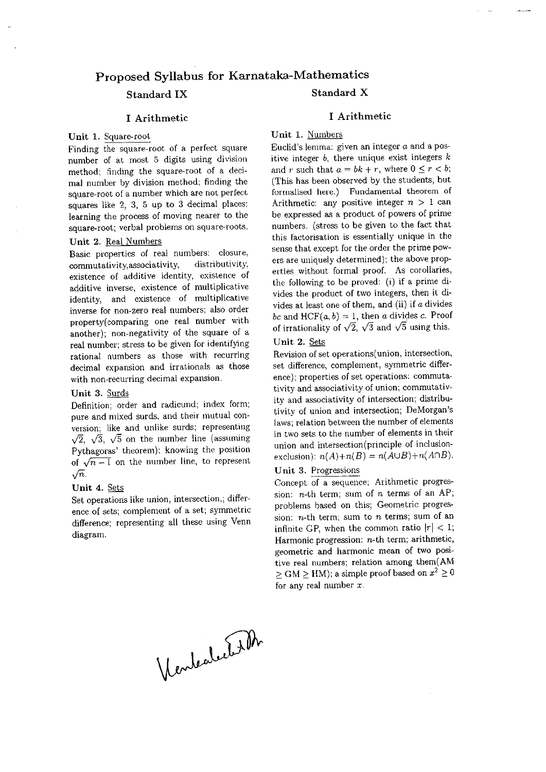#### Proposed Syllabus for Karnataka-Mathematics Standard X Standard IX

#### I Arithmetic

#### Unit 1. Square-root

Finding the square-root of a perfect square number of at most 5 digits using division method; finding the square-root of a decimal number by division method; finding the square-root of a number which are not perfect squares like 2, 3, 5 up to 3 decimal places; learning the process of moving nearer to the square-root; verbal problems on square-roots.

#### Unit 2. Real Numbers

Basic properties of real numbers: closure, commutativity, associativity, distributivity, existence of additive identity, existence of additive inverse, existence of multiplicative identity, and existence of multiplicative inverse for non-zero real numbers; also order property(comparing one real number with another); non-negativity of the square of a real number; stress to be given for identifying rational numbers as those with recurring decimal expansion and irrationals as those with non-recurring decimal expansion.

#### Unit 3. Surds

Definition; order and radicund; index form; pure and mixed surds, and their mutual conversion; like and unlike surds; representing  $\sqrt{2}$ ,  $\sqrt{3}$ ,  $\sqrt{5}$  on the number line (assuming Pythagoras' theorem); knowing the position of  $\sqrt{n-1}$  on the number line, to represent  $\sqrt{n}$ .

#### Unit 4. Sets

Set operations like union, intersection,; difference of sets; complement of a set; symmetric difference; representing all these using Venn diagram.

#### I Arithmetic

Unit 1. Numbers

Euclid's lemma: given an integer  $a$  and a positive integer  $b$ , there unique exist integers  $k$ and r such that  $a = bk + r$ , where  $0 \le r < b$ ; (This has been observed by the students, but formalised here.) Fundamental theorem of Arithmetic: any positive integer  $n > 1$  can be expressed as a product of powers of prime numbers. (stress to be given to the fact that this factorisation is essentially unique in the sense that except for the order the prime powers are uniquely determined); the above properties without formal proof. As corollaries, the following to be proved: (i) if a prime divides the product of two integers, then it divides at least one of them, and (ii) if  $a$  divides bc and  $HCF(a, b) = 1$ , then a divides c. Proof of irrationality of  $\sqrt{2}$ ,  $\sqrt{3}$  and  $\sqrt{5}$  using this.

#### Unit 2. Sets

Revision of set operations (union, intersection, set difference, complement, symmetric difference); properties of set operations: commutativity and associativity of union; commutativity and associativity of intersection; distributivity of union and intersection; DeMorgan's laws; relation between the number of elements in two sets to the number of elements in their union and intersection(principle of inclusionexclusion):  $n(A)+n(B) = n(A\cup B)+n(A\cap B)$ .

#### Unit 3. Progressions

Concept of a sequence; Arithmetic progression: *n*-th term; sum of *n* terms of an AP; problems based on this; Geometric progression:  $n$ -th term; sum to  $n$  terms; sum of an infinite GP, when the common ratio  $|r| < 1$ ; Harmonic progression:  $n$ -th term; arithmetic, geometric and harmonic mean of two positive real numbers; relation among them(AM  $\ge$  GM  $\ge$  HM); a simple proof based on  $x^2 \ge 0$ for any real number  $x$ .

Vendealertisth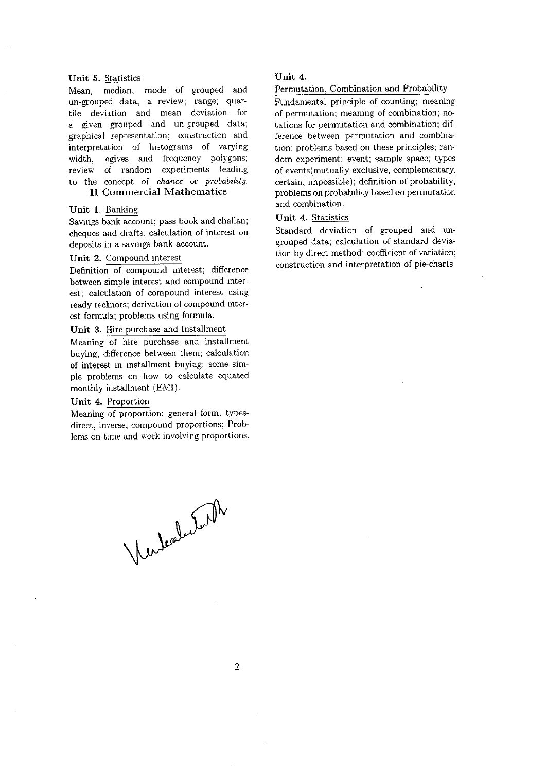#### Unit 5. Statistics

Mean, median, mode of grouped and un-grouped data, a review; range; quartile deviation and mean deviation for a given grouped and un-grouped data; graphical representation; construction and interpretation of histograms of varying ogives and frequency polygons; width. review of random experiments leading to the concept of chance or probability. **II Commercial Mathematics** 

#### Unit 1. Banking

Savings bank account; pass book and challan; cheques and drafts; calculation of interest on deposits in a savings bank account.

#### Unit 2. Compound interest

Definition of compound interest; difference between simple interest and compound interest; calculation of compound interest using ready recknors; derivation of compound interest formula; problems using formula.

#### Unit 3. Hire purchase and Installment

Meaning of hire purchase and installment buying; difference between them; calculation of interest in installment buying; some simple problems on how to calculate equated monthly installment (EMI).

#### Unit 4. Proportion

Meaning of proportion; general form; typesdirect, inverse, compound proportions; Problems on time and work involving proportions.

Vendealution

#### Unit 4.

#### Permutation, Combination and Probability

Fundamental principle of counting; meaning of permutation; meaning of combination; notations for permutation and combination; difference between permutation and combination; problems based on these principles; random experiment; event; sample space; types of events (mutually exclusive, complementary, certain, impossible); definition of probability; problems on probability based on permutation and combination.

#### Unit 4. Statistics

Standard deviation of grouped and ungrouped data; calculation of standard deviation by direct method; coefficient of variation; construction and interpretation of pie-charts.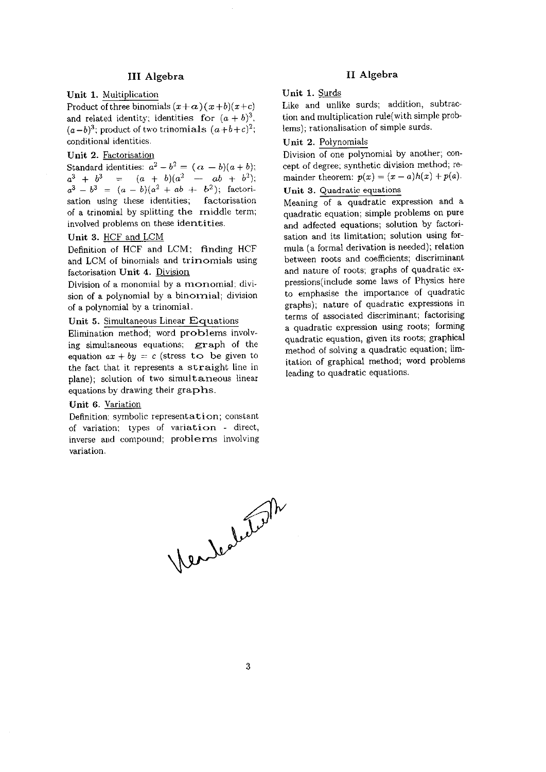#### **III** Algebra

#### Unit 1. Multiplication

Product of three binomials  $(x+a)(x+b)(x+c)$ and related identity; identities for  $(a + b)^3$ ,  $(a-b)^3$ ; product of two trinomials  $(a+b+c)^2$ ; conditional identities.

#### Unit 2. Factorisation

Standard identities:  $a^2-b^2 = (a - b)(a + b)$ ;  $a^3 + b^3 = (a + b)(a^2 - ab + b^2);$  $a^3 - b^3 = (a - b)(a^2 + ab + b^2)$ ; factorisation using these identities; factorisation of a trinomial by splitting the middle term; involved problems on these identities.

#### Unit 3. HCF and LCM

Definition of HCF and LCM; finding HCF and LCM of binomials and trimomials using factorisation Unit 4. Division

Division of a monomial by a monomial; division of a polynomial by a binornial; division of a polynomial by a trinomial.

#### Unit 5. Simultaneous Linear Equations

Elimination method; word problems involving simultaneous equations; graph of the equation  $ax + by = c$  (stress to be given to the fact that it represents a straight line in plane); solution of two simultaneous linear equations by drawing their graphs.

#### Unit 6. Variation

Definition; symbolic representation; constant of variation; types of variation - direct, inverse and compound; problems involving variation.

#### II Algebra

#### Unit 1. Surds

Like and unlike surds; addition, subtraction and multiplication rule(with simple problems); rationalisation of simple surds.

#### Unit 2. Polynomials

Division of one polynomial by another; concept of degree; synthetic division method; remainder theorem:  $p(x) = (x - a)h(x) + p(a)$ .

### Unit 3. Quadratic equations

Meaning of a quadratic expression and a quadratic equation; simple problems on pure and adfected equations; solution by factorisation and its limitation; solution using formula (a formal derivation is needed); relation between roots and coefficients; discriminant and nature of roots; graphs of quadratic expressions(include some laws of Physics here to emphasise the importance of quadratic graphs); nature of quadratic expressions in terms of associated discriminant; factorising a quadratic expression using roots; forming quadratic equation, given its roots; graphical method of solving a quadratic equation; limitation of graphical method; word problems leading to quadratic equations.

Vendedution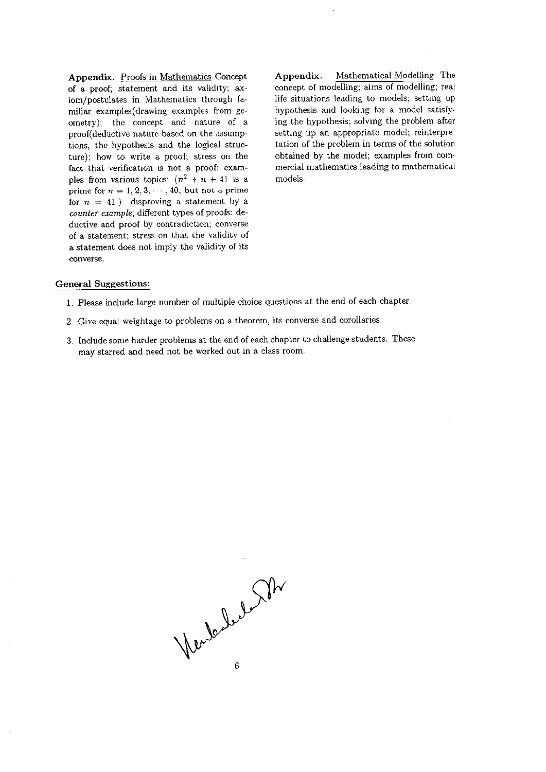Appendix. Proofs in Mathematics Concept of a proof; statement and its validity; axiom/postulates in Mathematics through familiar examples(drawing examples from geometry); the concept and nature of a proof(deductive nature based on the assumptions, the hypothesis and the logical structure); how to write a proof; stress on the fact that verification is not a proof; examples from various topics;  $(n^2 + n + 41)$  is a prime for  $n = 1, 2, 3, \dots, 40$ , but not a prime for  $n = 41$ .) disproving a statement by a counter example; different types of proofs: deductive and proof by contradiction; converse of a statement; stress on that the validity of a statement does not imply the validity of its converse.

Mathematical Modelling The Appendix. concept of modelling; aims of modelling; real life situations leading to models; setting up hypothesis and looking for a model satisfying the hypothesis; solving the problem after setting up an appropriate model; reinterpretation of the problem in terms of the solution obtained by the model; examples from commercial mathematics leading to mathematical models.

#### **General Suggestions:**

- 1. Please include large number of multiple choice questions at the end of each chapter.
- 2. Give equal weightage to problems on a theorem, its converse and corollaries.
- 3. Include some harder problems at the end of each chapter to challenge students. These may starred and need not be worked out in a class room.

Verde beland